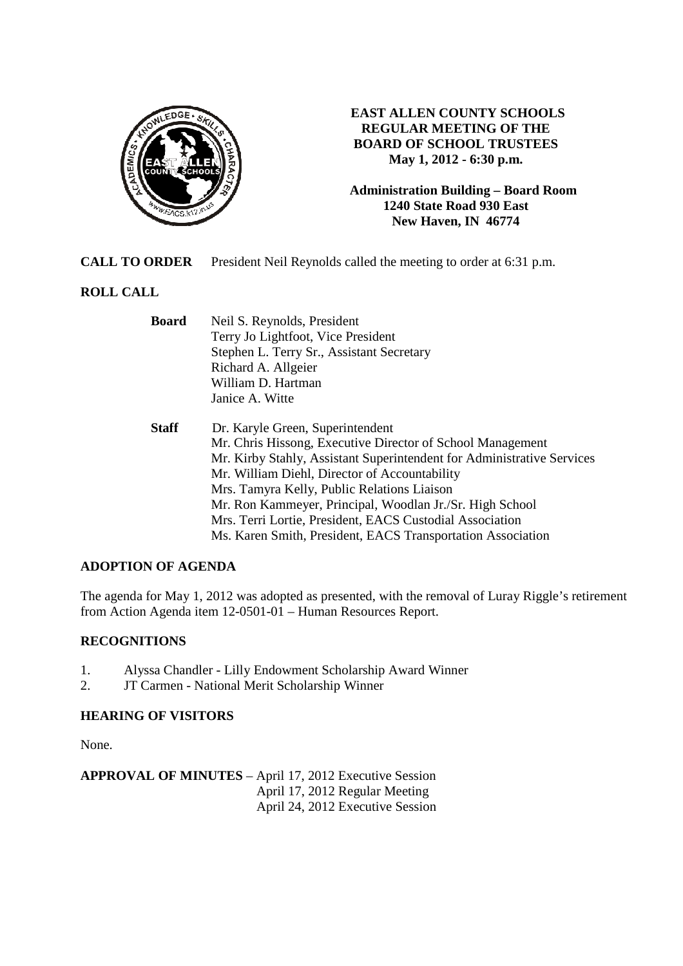

# **EAST ALLEN COUNTY SCHOOLS REGULAR MEETING OF THE BOARD OF SCHOOL TRUSTEES May 1, 2012 - 6:30 p.m.**

**Administration Building – Board Room 1240 State Road 930 East New Haven, IN 46774**

**CALL TO ORDER** President Neil Reynolds called the meeting to order at 6:31 p.m.

# **ROLL CALL**

| Neil S. Reynolds, President                                            |
|------------------------------------------------------------------------|
| Terry Jo Lightfoot, Vice President                                     |
| Stephen L. Terry Sr., Assistant Secretary                              |
| Richard A. Allgeier                                                    |
| William D. Hartman                                                     |
| Janice A. Witte                                                        |
| Dr. Karyle Green, Superintendent                                       |
| Mr. Chris Hissong, Executive Director of School Management             |
| Mr. Kirby Stahly, Assistant Superintendent for Administrative Services |
| Mr. William Diehl, Director of Accountability                          |
| Mrs. Tamyra Kelly, Public Relations Liaison                            |
| Mr. Ron Kammeyer, Principal, Woodlan Jr./Sr. High School               |
| Mrs. Terri Lortie, President, EACS Custodial Association               |
| Ms. Karen Smith, President, EACS Transportation Association            |
|                                                                        |

# **ADOPTION OF AGENDA**

The agenda for May 1, 2012 was adopted as presented, with the removal of Luray Riggle's retirement from Action Agenda item 12-0501-01 – Human Resources Report.

# **RECOGNITIONS**

- 1. Alyssa Chandler Lilly Endowment Scholarship Award Winner
- 2. JT Carmen National Merit Scholarship Winner

### **HEARING OF VISITORS**

None.

**APPROVAL OF MINUTES** – April 17, 2012 Executive Session April 17, 2012 Regular Meeting April 24, 2012 Executive Session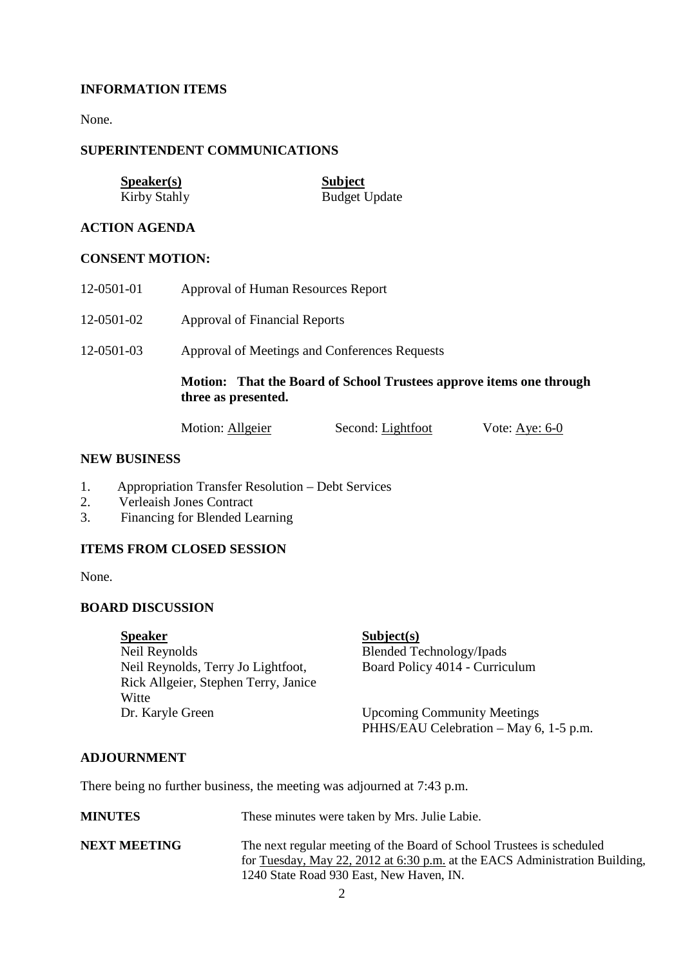# **INFORMATION ITEMS**

None.

### **SUPERINTENDENT COMMUNICATIONS**

| <b>Speaker(s)</b> | <b>Subject</b>       |
|-------------------|----------------------|
| Kirby Stahly      | <b>Budget Update</b> |

### **ACTION AGENDA**

#### **CONSENT MOTION:**

- 12-0501-01 Approval of Human Resources Report
- 12-0501-02 Approval of Financial Reports
- 12-0501-03 Approval of Meetings and Conferences Requests

### **Motion: That the Board of School Trustees approve items one through three as presented.**

| Motion: Allgeier | Second: Lightfoot | Vote: Aye: $6-0$ |
|------------------|-------------------|------------------|
|                  |                   |                  |

#### **NEW BUSINESS**

- 1. Appropriation Transfer Resolution Debt Services
- 2. Verleaish Jones Contract
- 3. Financing for Blended Learning

## **ITEMS FROM CLOSED SESSION**

None.

### **BOARD DISCUSSION**

**Speaker** Subject(s) Neil Reynolds Blended Technology/Ipads Neil Reynolds, Terry Jo Lightfoot, Board Policy 4014 - Curriculum Rick Allgeier, Stephen Terry, Janice Witte Dr. Karyle Green Upcoming Community Meetings

PHHS/EAU Celebration – May 6, 1-5 p.m.

### **ADJOURNMENT**

There being no further business, the meeting was adjourned at 7:43 p.m.

| <b>MINUTES</b>      | These minutes were taken by Mrs. Julie Labie.                                                                                                                                                    |
|---------------------|--------------------------------------------------------------------------------------------------------------------------------------------------------------------------------------------------|
| <b>NEXT MEETING</b> | The next regular meeting of the Board of School Trustees is scheduled<br>for Tuesday, May 22, 2012 at 6:30 p.m. at the EACS Administration Building,<br>1240 State Road 930 East, New Haven, IN. |